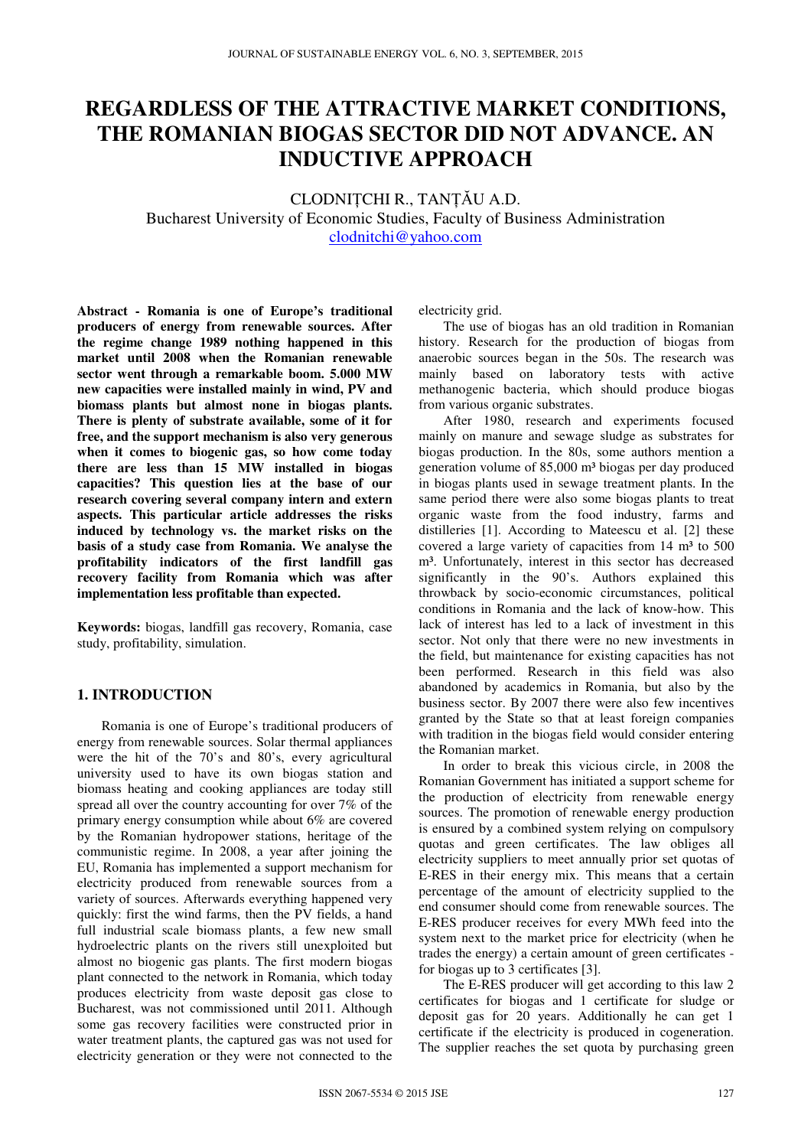# **REGARDLESS OF THE ATTRACTIVE MARKET CONDITIONS, THE ROMANIAN BIOGAS SECTOR DID NOT ADVANCE. AN INDUCTIVE APPROACH**

CLODNIȚCHI R., TANȚĂU A.D. Bucharest University of Economic Studies, Faculty of Business Administration clodnitchi@yahoo.com

**Abstract - Romania is one of Europe's traditional producers of energy from renewable sources. After the regime change 1989 nothing happened in this market until 2008 when the Romanian renewable sector went through a remarkable boom. 5.000 MW new capacities were installed mainly in wind, PV and biomass plants but almost none in biogas plants. There is plenty of substrate available, some of it for free, and the support mechanism is also very generous when it comes to biogenic gas, so how come today there are less than 15 MW installed in biogas capacities? This question lies at the base of our research covering several company intern and extern aspects. This particular article addresses the risks induced by technology vs. the market risks on the basis of a study case from Romania. We analyse the profitability indicators of the first landfill gas recovery facility from Romania which was after implementation less profitable than expected.** 

**Keywords:** biogas, landfill gas recovery, Romania, case study, profitability, simulation.

# **1. INTRODUCTION**

Romania is one of Europe's traditional producers of energy from renewable sources. Solar thermal appliances were the hit of the 70's and 80's, every agricultural university used to have its own biogas station and biomass heating and cooking appliances are today still spread all over the country accounting for over 7% of the primary energy consumption while about 6% are covered by the Romanian hydropower stations, heritage of the communistic regime. In 2008, a year after joining the EU, Romania has implemented a support mechanism for electricity produced from renewable sources from a variety of sources. Afterwards everything happened very quickly: first the wind farms, then the PV fields, a hand full industrial scale biomass plants, a few new small hydroelectric plants on the rivers still unexploited but almost no biogenic gas plants. The first modern biogas plant connected to the network in Romania, which today produces electricity from waste deposit gas close to Bucharest, was not commissioned until 2011. Although some gas recovery facilities were constructed prior in water treatment plants, the captured gas was not used for electricity generation or they were not connected to the

electricity grid.

The use of biogas has an old tradition in Romanian history. Research for the production of biogas from anaerobic sources began in the 50s. The research was mainly based on laboratory tests with active methanogenic bacteria, which should produce biogas from various organic substrates.

After 1980, research and experiments focused mainly on manure and sewage sludge as substrates for biogas production. In the 80s, some authors mention a generation volume of 85,000 m<sup>3</sup> biogas per day produced in biogas plants used in sewage treatment plants. In the same period there were also some biogas plants to treat organic waste from the food industry, farms and distilleries [1]. According to Mateescu et al. [2] these covered a large variety of capacities from  $14 \text{ m}^3$  to  $500 \text{ m}$ m<sup>3</sup>. Unfortunately, interest in this sector has decreased significantly in the 90's. Authors explained this throwback by socio-economic circumstances, political conditions in Romania and the lack of know-how. This lack of interest has led to a lack of investment in this sector. Not only that there were no new investments in the field, but maintenance for existing capacities has not been performed. Research in this field was also abandoned by academics in Romania, but also by the business sector. By 2007 there were also few incentives granted by the State so that at least foreign companies with tradition in the biogas field would consider entering the Romanian market.

In order to break this vicious circle, in 2008 the Romanian Government has initiated a support scheme for the production of electricity from renewable energy sources. The promotion of renewable energy production is ensured by a combined system relying on compulsory quotas and green certificates. The law obliges all electricity suppliers to meet annually prior set quotas of E-RES in their energy mix. This means that a certain percentage of the amount of electricity supplied to the end consumer should come from renewable sources. The E-RES producer receives for every MWh feed into the system next to the market price for electricity (when he trades the energy) a certain amount of green certificates for biogas up to 3 certificates [3].

The E-RES producer will get according to this law 2 certificates for biogas and 1 certificate for sludge or deposit gas for 20 years. Additionally he can get 1 certificate if the electricity is produced in cogeneration. The supplier reaches the set quota by purchasing green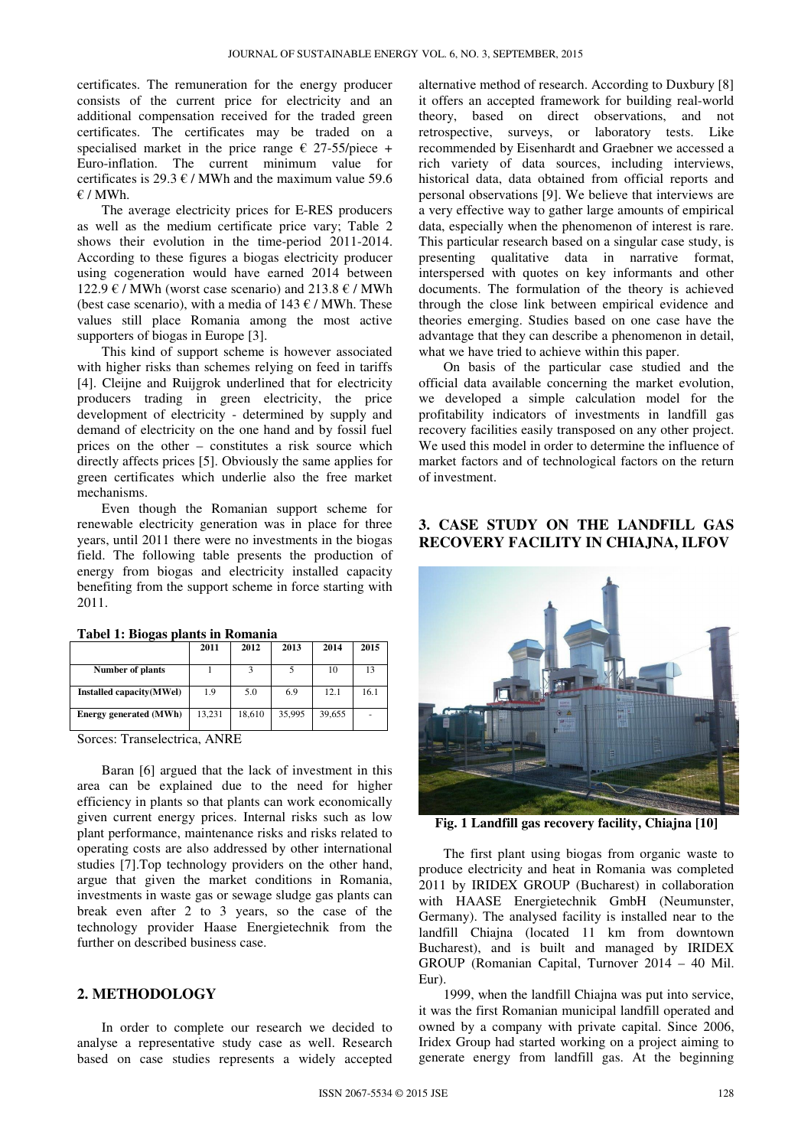certificates. The remuneration for the energy producer consists of the current price for electricity and an additional compensation received for the traded green certificates. The certificates may be traded on a specialised market in the price range  $\epsilon$  27-55/piece + Euro-inflation. The current minimum value for certificates is 29.3  $\varepsilon$  / MWh and the maximum value 59.6  $E / MWh$ .

The average electricity prices for E-RES producers as well as the medium certificate price vary; Table 2 shows their evolution in the time-period 2011-2014. According to these figures a biogas electricity producer using cogeneration would have earned 2014 between 122.9 € / MWh (worst case scenario) and 213.8 € / MWh (best case scenario), with a media of 143  $\epsilon$  / MWh. These values still place Romania among the most active supporters of biogas in Europe [3].

This kind of support scheme is however associated with higher risks than schemes relying on feed in tariffs [4]. Cleijne and Ruijgrok underlined that for electricity producers trading in green electricity, the price development of electricity - determined by supply and demand of electricity on the one hand and by fossil fuel prices on the other – constitutes a risk source which directly affects prices [5]. Obviously the same applies for green certificates which underlie also the free market mechanisms.

Even though the Romanian support scheme for renewable electricity generation was in place for three years, until 2011 there were no investments in the biogas field. The following table presents the production of energy from biogas and electricity installed capacity benefiting from the support scheme in force starting with 2011.

|                               | 2011   | 2012   | 2013   | 2014   | 2015 |
|-------------------------------|--------|--------|--------|--------|------|
| Number of plants              |        |        |        | 10     | 13   |
| Installed capacity(MWel)      | 1.9    | 5.0    | 6.9    | 12.1   | 16.1 |
| <b>Energy generated (MWh)</b> | 13,231 | 18,610 | 35,995 | 39,655 |      |

**Tabel 1: Biogas plants in Romania** 

Sorces: Transelectrica, ANRE

Baran [6] argued that the lack of investment in this area can be explained due to the need for higher efficiency in plants so that plants can work economically given current energy prices. Internal risks such as low plant performance, maintenance risks and risks related to operating costs are also addressed by other international studies [7].Top technology providers on the other hand, argue that given the market conditions in Romania, investments in waste gas or sewage sludge gas plants can break even after 2 to 3 years, so the case of the technology provider Haase Energietechnik from the further on described business case.

#### **2. METHODOLOGY**

In order to complete our research we decided to analyse a representative study case as well. Research based on case studies represents a widely accepted

alternative method of research. According to Duxbury [8] it offers an accepted framework for building real-world theory, based on direct observations, and not retrospective, surveys, or laboratory tests. Like recommended by Eisenhardt and Graebner we accessed a rich variety of data sources, including interviews, historical data, data obtained from official reports and personal observations [9]. We believe that interviews are a very effective way to gather large amounts of empirical data, especially when the phenomenon of interest is rare. This particular research based on a singular case study, is presenting qualitative data in narrative format, interspersed with quotes on key informants and other documents. The formulation of the theory is achieved through the close link between empirical evidence and theories emerging. Studies based on one case have the advantage that they can describe a phenomenon in detail, what we have tried to achieve within this paper.

On basis of the particular case studied and the official data available concerning the market evolution, we developed a simple calculation model for the profitability indicators of investments in landfill gas recovery facilities easily transposed on any other project. We used this model in order to determine the influence of market factors and of technological factors on the return of investment.

## **3. CASE STUDY ON THE LANDFILL GAS RECOVERY FACILITY IN CHIAJNA, ILFOV**



**Fig. 1 Landfill gas recovery facility, Chiajna [10]**

The first plant using biogas from organic waste to produce electricity and heat in Romania was completed 2011 by IRIDEX GROUP (Bucharest) in collaboration with HAASE Energietechnik GmbH (Neumunster, Germany). The analysed facility is installed near to the landfill Chiajna (located 11 km from downtown Bucharest), and is built and managed by IRIDEX GROUP (Romanian Capital, Turnover 2014 – 40 Mil. Eur).

1999, when the landfill Chiajna was put into service, it was the first Romanian municipal landfill operated and owned by a company with private capital. Since 2006, Iridex Group had started working on a project aiming to generate energy from landfill gas. At the beginning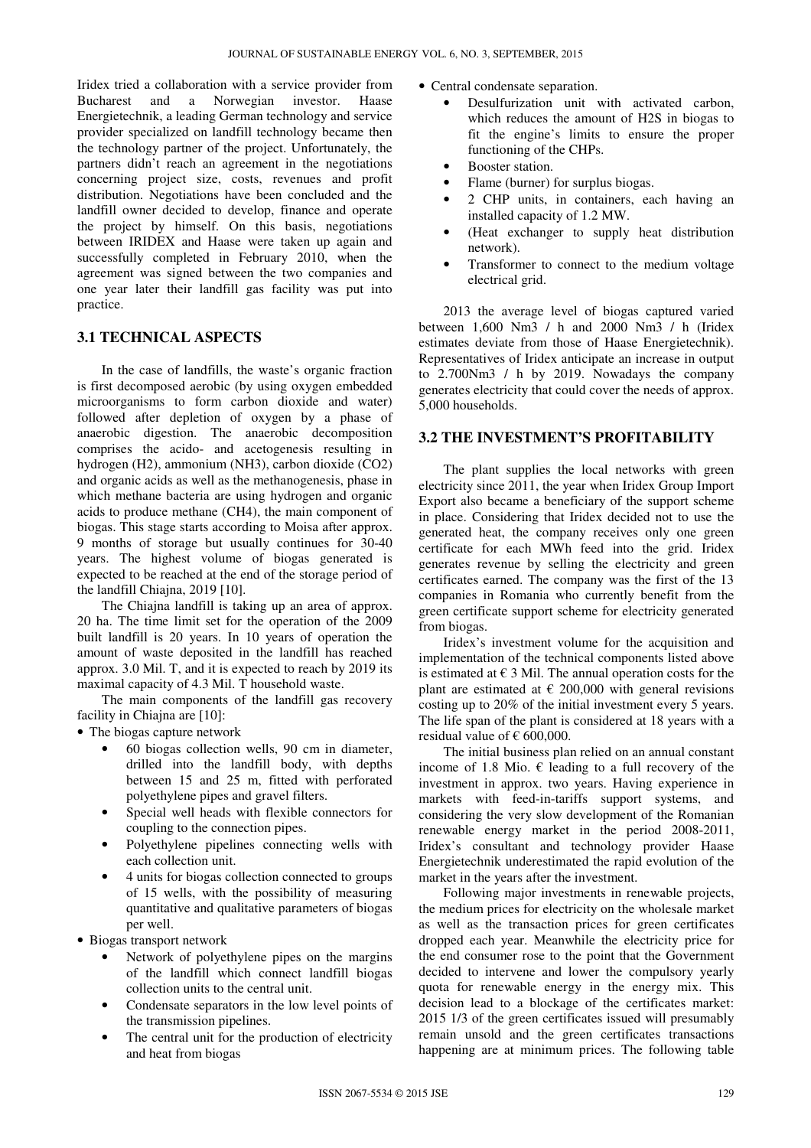Iridex tried a collaboration with a service provider from Bucharest and a Norwegian investor. Haase Energietechnik, a leading German technology and service provider specialized on landfill technology became then the technology partner of the project. Unfortunately, the partners didn't reach an agreement in the negotiations concerning project size, costs, revenues and profit distribution. Negotiations have been concluded and the landfill owner decided to develop, finance and operate the project by himself. On this basis, negotiations between IRIDEX and Haase were taken up again and successfully completed in February 2010, when the agreement was signed between the two companies and one year later their landfill gas facility was put into practice.

## **3.1 TECHNICAL ASPECTS**

In the case of landfills, the waste's organic fraction is first decomposed aerobic (by using oxygen embedded microorganisms to form carbon dioxide and water) followed after depletion of oxygen by a phase of anaerobic digestion. The anaerobic decomposition comprises the acido- and acetogenesis resulting in hydrogen (H2), ammonium (NH3), carbon dioxide (CO2) and organic acids as well as the methanogenesis, phase in which methane bacteria are using hydrogen and organic acids to produce methane (CH4), the main component of biogas. This stage starts according to Moisa after approx. 9 months of storage but usually continues for 30-40 years. The highest volume of biogas generated is expected to be reached at the end of the storage period of the landfill Chiajna, 2019 [10].

The Chiajna landfill is taking up an area of approx. 20 ha. The time limit set for the operation of the 2009 built landfill is 20 years. In 10 years of operation the amount of waste deposited in the landfill has reached approx. 3.0 Mil. T, and it is expected to reach by 2019 its maximal capacity of 4.3 Mil. T household waste.

The main components of the landfill gas recovery facility in Chiajna are [10]:

- The biogas capture network
	- 60 biogas collection wells, 90 cm in diameter, drilled into the landfill body, with depths between 15 and 25 m, fitted with perforated polyethylene pipes and gravel filters.
	- Special well heads with flexible connectors for coupling to the connection pipes.
	- Polyethylene pipelines connecting wells with each collection unit.
	- 4 units for biogas collection connected to groups of 15 wells, with the possibility of measuring quantitative and qualitative parameters of biogas per well.
- Biogas transport network
	- Network of polyethylene pipes on the margins of the landfill which connect landfill biogas collection units to the central unit.
	- Condensate separators in the low level points of the transmission pipelines.
	- The central unit for the production of electricity and heat from biogas
- Central condensate separation.
	- Desulfurization unit with activated carbon, which reduces the amount of H2S in biogas to fit the engine's limits to ensure the proper functioning of the CHPs.
	- Booster station.
	- Flame (burner) for surplus biogas.
	- 2 CHP units, in containers, each having an installed capacity of 1.2 MW.
	- (Heat exchanger to supply heat distribution network).
	- Transformer to connect to the medium voltage electrical grid.

2013 the average level of biogas captured varied between 1,600 Nm3 / h and 2000 Nm3 / h (Iridex estimates deviate from those of Haase Energietechnik). Representatives of Iridex anticipate an increase in output to 2.700Nm3 / h by 2019. Nowadays the company generates electricity that could cover the needs of approx. 5,000 households.

#### **3.2 THE INVESTMENT'S PROFITABILITY**

The plant supplies the local networks with green electricity since 2011, the year when Iridex Group Import Export also became a beneficiary of the support scheme in place. Considering that Iridex decided not to use the generated heat, the company receives only one green certificate for each MWh feed into the grid. Iridex generates revenue by selling the electricity and green certificates earned. The company was the first of the 13 companies in Romania who currently benefit from the green certificate support scheme for electricity generated from biogas.

Iridex's investment volume for the acquisition and implementation of the technical components listed above is estimated at  $\in$  3 Mil. The annual operation costs for the plant are estimated at  $\epsilon$  200,000 with general revisions costing up to 20% of the initial investment every 5 years. The life span of the plant is considered at 18 years with a residual value of  $\epsilon$  600,000.

The initial business plan relied on an annual constant income of 1.8 Mio.  $\epsilon$  leading to a full recovery of the investment in approx. two years. Having experience in markets with feed-in-tariffs support systems, and considering the very slow development of the Romanian renewable energy market in the period 2008-2011, Iridex's consultant and technology provider Haase Energietechnik underestimated the rapid evolution of the market in the years after the investment.

Following major investments in renewable projects, the medium prices for electricity on the wholesale market as well as the transaction prices for green certificates dropped each year. Meanwhile the electricity price for the end consumer rose to the point that the Government decided to intervene and lower the compulsory yearly quota for renewable energy in the energy mix. This decision lead to a blockage of the certificates market: 2015 1/3 of the green certificates issued will presumably remain unsold and the green certificates transactions happening are at minimum prices. The following table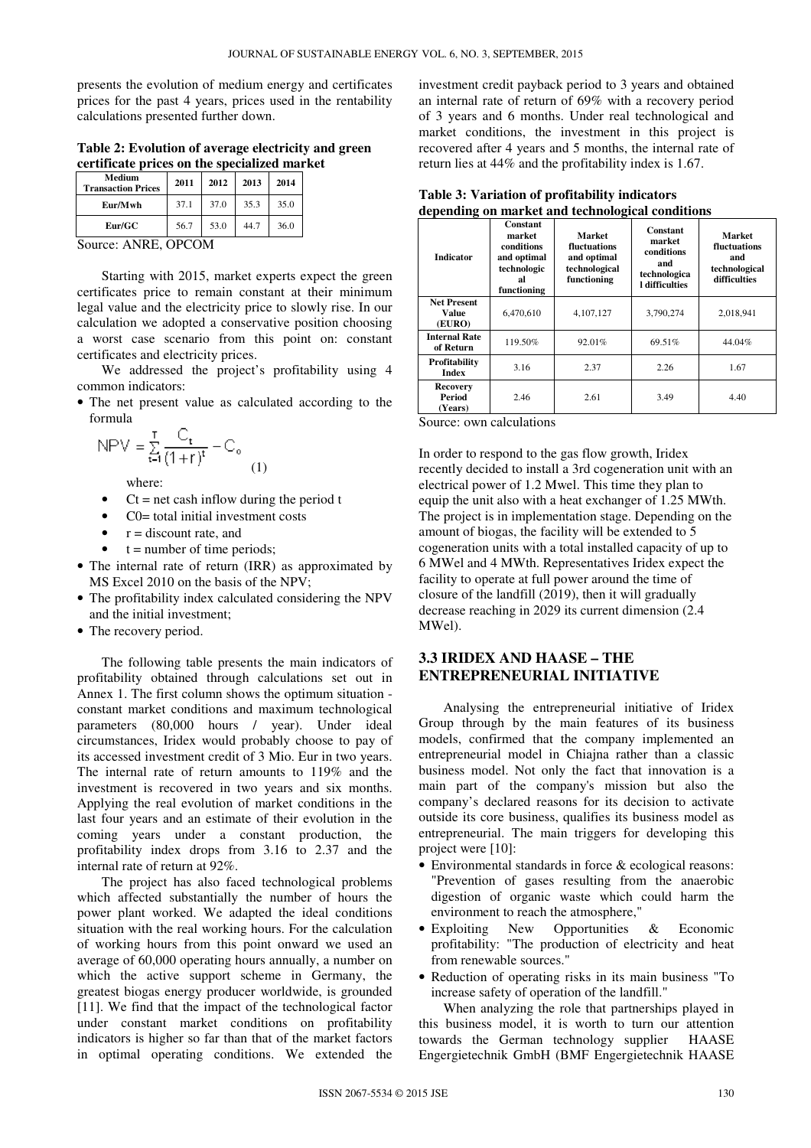presents the evolution of medium energy and certificates prices for the past 4 years, prices used in the rentability calculations presented further down.

**Table 2: Evolution of average electricity and green certificate prices on the specialized market** 

| Medium<br><b>Transaction Prices</b> | 2011 | 2012 | 2013 | 2014 |  |
|-------------------------------------|------|------|------|------|--|
| Eur/Mwh                             | 37.1 | 37.0 | 35.3 | 35.0 |  |
| Eur/GC                              | 56.7 | 53.0 | 44.7 | 36.0 |  |
| $-$                                 |      |      |      |      |  |

Source: ANRE, OPCOM

Starting with 2015, market experts expect the green certificates price to remain constant at their minimum legal value and the electricity price to slowly rise. In our calculation we adopted a conservative position choosing a worst case scenario from this point on: constant certificates and electricity prices.

We addressed the project's profitability using 4 common indicators:

• The net present value as calculated according to the formula

$$
NPV = \sum_{t=1}^{T} \frac{C_t}{(1+r)^t} - C_o \tag{1}
$$

where:

- $Ct = net cash inflow during the period t$
- C0= total initial investment costs
- $r =$  discount rate, and
- $t =$  number of time periods;
- The internal rate of return (IRR) as approximated by MS Excel 2010 on the basis of the NPV;
- The profitability index calculated considering the NPV and the initial investment;
- The recovery period.

The following table presents the main indicators of profitability obtained through calculations set out in Annex 1. The first column shows the optimum situation constant market conditions and maximum technological parameters (80,000 hours / year). Under ideal circumstances, Iridex would probably choose to pay of its accessed investment credit of 3 Mio. Eur in two years. The internal rate of return amounts to 119% and the investment is recovered in two years and six months. Applying the real evolution of market conditions in the last four years and an estimate of their evolution in the coming years under a constant production, the profitability index drops from 3.16 to 2.37 and the internal rate of return at 92%.

The project has also faced technological problems which affected substantially the number of hours the power plant worked. We adapted the ideal conditions situation with the real working hours. For the calculation of working hours from this point onward we used an average of 60,000 operating hours annually, a number on which the active support scheme in Germany, the greatest biogas energy producer worldwide, is grounded [11]. We find that the impact of the technological factor under constant market conditions on profitability indicators is higher so far than that of the market factors in optimal operating conditions. We extended the

investment credit payback period to 3 years and obtained an internal rate of return of 69% with a recovery period of 3 years and 6 months. Under real technological and market conditions, the investment in this project is recovered after 4 years and 5 months, the internal rate of return lies at 44% and the profitability index is 1.67.

| ucpenumg on mai iet anu technological conunions |                                                                                            |                                                                       |                                                                                  |                                                                       |  |  |  |  |
|-------------------------------------------------|--------------------------------------------------------------------------------------------|-----------------------------------------------------------------------|----------------------------------------------------------------------------------|-----------------------------------------------------------------------|--|--|--|--|
| <b>Indicator</b>                                | <b>Constant</b><br>market<br>conditions<br>and optimal<br>technologic<br>al<br>functioning | Market<br>fluctuations<br>and optimal<br>technological<br>functioning | Constant<br>market<br>conditions<br>and<br>technologica<br><b>l</b> difficulties | <b>Market</b><br>fluctuations<br>and<br>technological<br>difficulties |  |  |  |  |
| <b>Net Present</b><br>Value<br>(EURO)           | 6,470,610                                                                                  | 4,107,127                                                             | 3,790,274                                                                        | 2,018,941                                                             |  |  |  |  |
| <b>Internal Rate</b><br>of Return               | 119.50%                                                                                    | 92.01%                                                                | 69.51%                                                                           | 44.04%                                                                |  |  |  |  |
| Profitability<br><b>Index</b>                   | 3.16                                                                                       | 2.37                                                                  | 2.26                                                                             | 1.67                                                                  |  |  |  |  |
| <b>Recovery</b><br>Period<br>(Years)            | 2.46                                                                                       | 2.61                                                                  | 3.49                                                                             | 4.40                                                                  |  |  |  |  |

**Table 3: Variation of profitability indicators depending on market and technological conditions** 

Source: own calculations

In order to respond to the gas flow growth, Iridex recently decided to install a 3rd cogeneration unit with an electrical power of 1.2 Mwel. This time they plan to equip the unit also with a heat exchanger of 1.25 MWth. The project is in implementation stage. Depending on the amount of biogas, the facility will be extended to 5 cogeneration units with a total installed capacity of up to 6 MWel and 4 MWth. Representatives Iridex expect the facility to operate at full power around the time of closure of the landfill (2019), then it will gradually decrease reaching in 2029 its current dimension (2.4 MWel).

#### **3.3 IRIDEX AND HAASE – THE ENTREPRENEURIAL INITIATIVE**

Analysing the entrepreneurial initiative of Iridex Group through by the main features of its business models, confirmed that the company implemented an entrepreneurial model in Chiajna rather than a classic business model. Not only the fact that innovation is a main part of the company's mission but also the company's declared reasons for its decision to activate outside its core business, qualifies its business model as entrepreneurial. The main triggers for developing this project were [10]:

- Environmental standards in force & ecological reasons: "Prevention of gases resulting from the anaerobic digestion of organic waste which could harm the environment to reach the atmosphere,"
- Exploiting New Opportunities & Economic profitability: "The production of electricity and heat from renewable sources."
- Reduction of operating risks in its main business "To increase safety of operation of the landfill."

When analyzing the role that partnerships played in this business model, it is worth to turn our attention towards the German technology supplier HAASE Engergietechnik GmbH (BMF Engergietechnik HAASE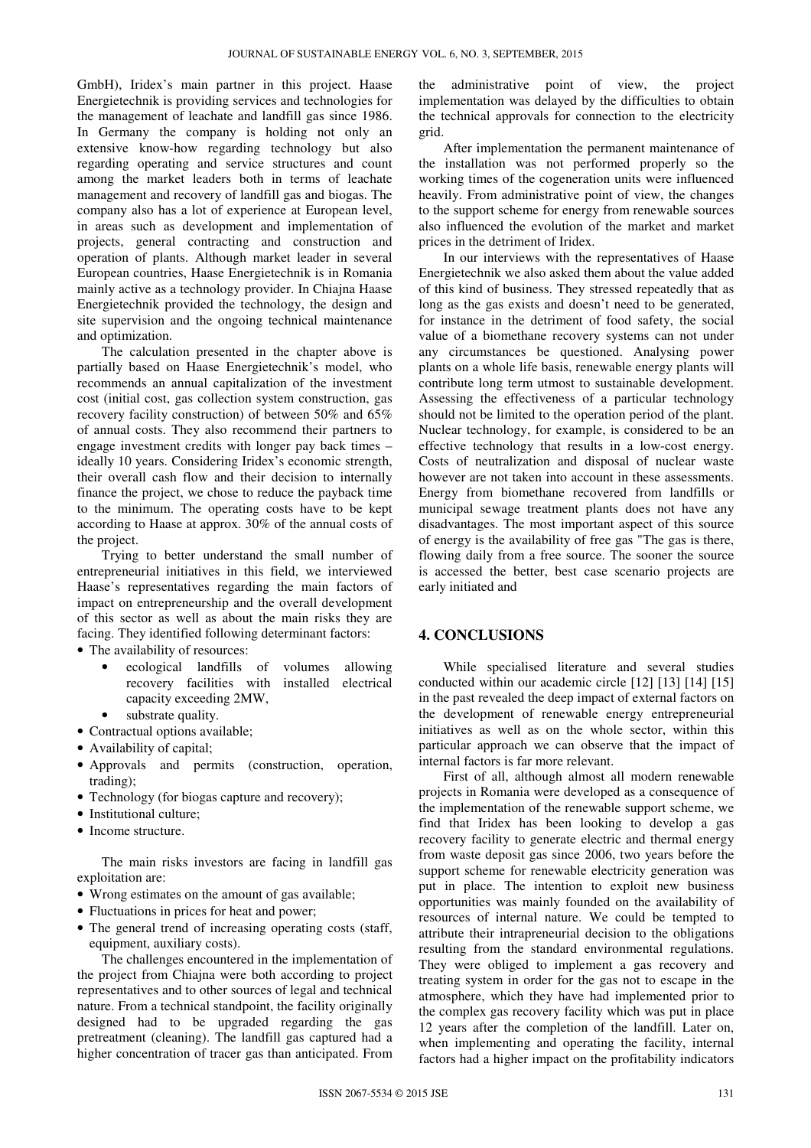GmbH), Iridex's main partner in this project. Haase Energietechnik is providing services and technologies for the management of leachate and landfill gas since 1986. In Germany the company is holding not only an extensive know-how regarding technology but also regarding operating and service structures and count among the market leaders both in terms of leachate management and recovery of landfill gas and biogas. The company also has a lot of experience at European level, in areas such as development and implementation of projects, general contracting and construction and operation of plants. Although market leader in several European countries, Haase Energietechnik is in Romania mainly active as a technology provider. In Chiajna Haase Energietechnik provided the technology, the design and site supervision and the ongoing technical maintenance and optimization.

The calculation presented in the chapter above is partially based on Haase Energietechnik's model, who recommends an annual capitalization of the investment cost (initial cost, gas collection system construction, gas recovery facility construction) of between 50% and 65% of annual costs. They also recommend their partners to engage investment credits with longer pay back times – ideally 10 years. Considering Iridex's economic strength, their overall cash flow and their decision to internally finance the project, we chose to reduce the payback time to the minimum. The operating costs have to be kept according to Haase at approx. 30% of the annual costs of the project.

Trying to better understand the small number of entrepreneurial initiatives in this field, we interviewed Haase's representatives regarding the main factors of impact on entrepreneurship and the overall development of this sector as well as about the main risks they are facing. They identified following determinant factors:

- The availability of resources:
	- ecological landfills of volumes allowing recovery facilities with installed electrical capacity exceeding 2MW,
	- substrate quality.
- Contractual options available;
- Availability of capital;
- Approvals and permits (construction, operation, trading);
- Technology (for biogas capture and recovery);
- Institutional culture;
- Income structure.

The main risks investors are facing in landfill gas exploitation are:

- Wrong estimates on the amount of gas available;
- Fluctuations in prices for heat and power;
- The general trend of increasing operating costs (staff, equipment, auxiliary costs).

The challenges encountered in the implementation of the project from Chiajna were both according to project representatives and to other sources of legal and technical nature. From a technical standpoint, the facility originally designed had to be upgraded regarding the gas pretreatment (cleaning). The landfill gas captured had a higher concentration of tracer gas than anticipated. From

the administrative point of view, the project implementation was delayed by the difficulties to obtain the technical approvals for connection to the electricity grid.

After implementation the permanent maintenance of the installation was not performed properly so the working times of the cogeneration units were influenced heavily. From administrative point of view, the changes to the support scheme for energy from renewable sources also influenced the evolution of the market and market prices in the detriment of Iridex.

In our interviews with the representatives of Haase Energietechnik we also asked them about the value added of this kind of business. They stressed repeatedly that as long as the gas exists and doesn't need to be generated, for instance in the detriment of food safety, the social value of a biomethane recovery systems can not under any circumstances be questioned. Analysing power plants on a whole life basis, renewable energy plants will contribute long term utmost to sustainable development. Assessing the effectiveness of a particular technology should not be limited to the operation period of the plant. Nuclear technology, for example, is considered to be an effective technology that results in a low-cost energy. Costs of neutralization and disposal of nuclear waste however are not taken into account in these assessments. Energy from biomethane recovered from landfills or municipal sewage treatment plants does not have any disadvantages. The most important aspect of this source of energy is the availability of free gas "The gas is there, flowing daily from a free source. The sooner the source is accessed the better, best case scenario projects are early initiated and

#### **4. CONCLUSIONS**

While specialised literature and several studies conducted within our academic circle [12] [13] [14] [15] in the past revealed the deep impact of external factors on the development of renewable energy entrepreneurial initiatives as well as on the whole sector, within this particular approach we can observe that the impact of internal factors is far more relevant.

First of all, although almost all modern renewable projects in Romania were developed as a consequence of the implementation of the renewable support scheme, we find that Iridex has been looking to develop a gas recovery facility to generate electric and thermal energy from waste deposit gas since 2006, two years before the support scheme for renewable electricity generation was put in place. The intention to exploit new business opportunities was mainly founded on the availability of resources of internal nature. We could be tempted to attribute their intrapreneurial decision to the obligations resulting from the standard environmental regulations. They were obliged to implement a gas recovery and treating system in order for the gas not to escape in the atmosphere, which they have had implemented prior to the complex gas recovery facility which was put in place 12 years after the completion of the landfill. Later on, when implementing and operating the facility, internal factors had a higher impact on the profitability indicators